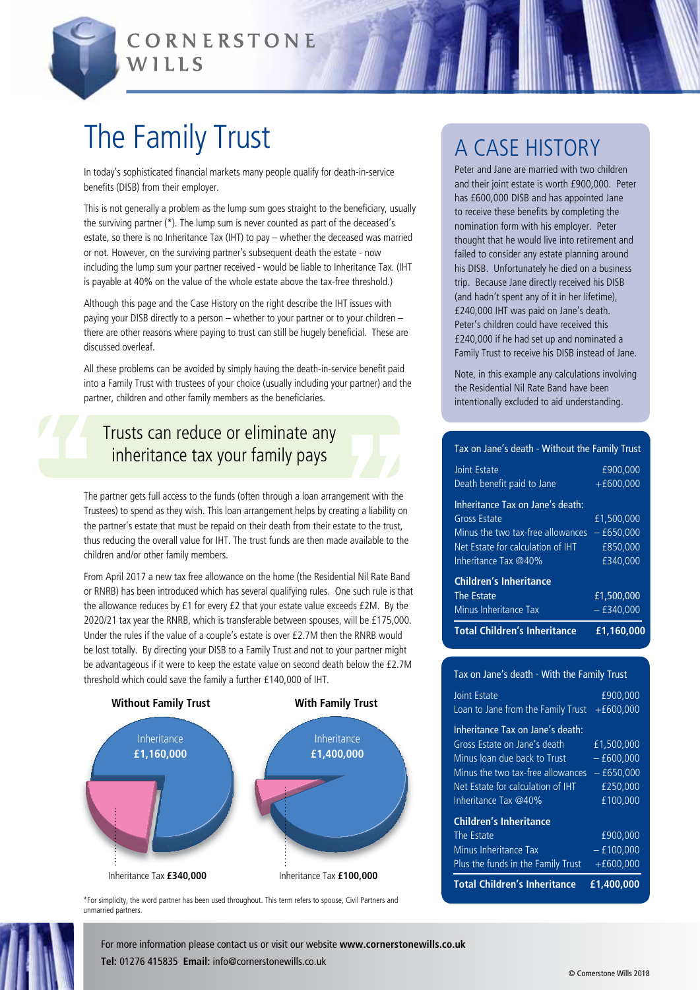

CORNERSTONE WILLS

# The Family Trust

In today's sophisticated financial markets many people qualify for death-in-service benefits (DISB) from their employer.

This is not generally a problem as the lump sum goes straight to the beneficiary, usually the surviving partner (\*). The lump sum is never counted as part of the deceased's estate, so there is no Inheritance Tax (IHT) to pay – whether the deceased was married or not. However, on the surviving partner's subsequent death the estate - now including the lump sum your partner received - would be liable to Inheritance Tax. (IHT is payable at 40% on the value of the whole estate above the tax-free threshold.)

Although this page and the Case History on the right describe the IHT issues with paying your DISB directly to a person – whether to your partner or to your children – there are other reasons where paying to trust can still be hugely beneficial. These are discussed overleaf.

All these problems can be avoided by simply having the death-in-service benefit paid into a Family Trust with trustees of your choice (usually including your partner) and the partner, children and other family members as the beneficiaries.

### Trusts can reduce or eliminate any inheritance tax your family pays

The partner gets full access to the funds (often through a loan arrangement with the Trustees) to spend as they wish. This loan arrangement helps by creating a liability on the partner's estate that must be repaid on their death from their estate to the trust, thus reducing the overall value for IHT. The trust funds are then made available to the children and/or other family members.

From April 2017 a new tax free allowance on the home (the Residential Nil Rate Band or RNRB) has been introduced which has several qualifying rules. One such rule is that the allowance reduces by £1 for every £2 that your estate value exceeds £2M. By the 2020/21 tax year the RNRB, which is transferable between spouses, will be £175,000. Under the rules if the value of a couple's estate is over £2.7M then the RNRB would be lost totally. By directing your DISB to a Family Trust and not to your partner might be advantageous if it were to keep the estate value on second death below the £2.7M threshold which could save the family a further £140,000 of IHT.



\*For simplicity, the word partner has been used throughout. This term refers to spouse, Civil Partners and unmarried partners.

### A Case history

Peter and Jane are married with two children and their joint estate is worth £900,000. Peter has £600,000 DISB and has appointed Jane to receive these benefits by completing the nomination form with his employer. Peter thought that he would live into retirement and failed to consider any estate planning around his DISB. Unfortunately he died on a business trip. Because Jane directly received his DISB (and hadn't spent any of it in her lifetime), £240,000 IHT was paid on Jane's death. Peter's children could have received this £240,000 if he had set up and nominated a Family Trust to receive his DISB instead of Jane.

Note, in this example any calculations involving the Residential Nil Rate Band have been intentionally excluded to aid understanding.

#### Tax on Jane's death - Without the Family Trust

| <b>Total Children's Inheritance</b> | £1,160,000   |
|-------------------------------------|--------------|
| Minus Inheritance Tax               | $-$ £340.000 |
| <b>The Estate</b>                   | £1,500,000   |
| <b>Children's Inheritance</b>       |              |
| Inheritance Tax @40%                | £340.000     |
| Net Estate for calculation of IHT   | £850.000     |
| Minus the two tax-free allowances   | $-650.000$   |
| <b>Gross Estate</b>                 | £1.500.000   |
| Inheritance Tax on Jane's death:    |              |
| Death benefit paid to Jane          | $+£600,000$  |
| <b>Joint Estate</b>                 | £900.000     |
|                                     |              |

#### Tax on Jane's death - With the Family Trust

| <b>Joint Estate</b>                                                                                                                                                                                | £900.000                                                       |
|----------------------------------------------------------------------------------------------------------------------------------------------------------------------------------------------------|----------------------------------------------------------------|
| Loan to Jane from the Family Trust                                                                                                                                                                 | $+£600,000$                                                    |
| Inheritance Tax on Jane's death:<br>Gross Estate on Jane's death<br>Minus loan due back to Trust<br>Minus the two tax-free allowances<br>Net Estate for calculation of IHT<br>Inheritance Tax @40% | £1.500.000<br>$-600.000$<br>$-650,000$<br>£250.000<br>£100,000 |
| <b>Children's Inheritance</b><br>The Estate<br>Minus Inheritance Tax                                                                                                                               | £900.000<br>$-$ £100,000                                       |
| Plus the funds in the Family Trust                                                                                                                                                                 | $+£600,000$                                                    |
| <b>Total Children's Inheritance</b>                                                                                                                                                                | £1,400,000                                                     |